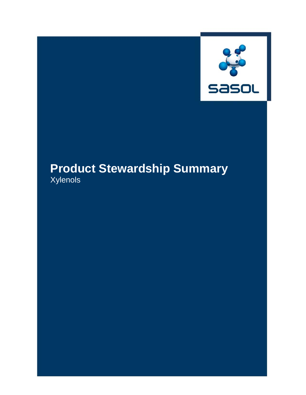

# **Product Stewardship Summary** Xylenols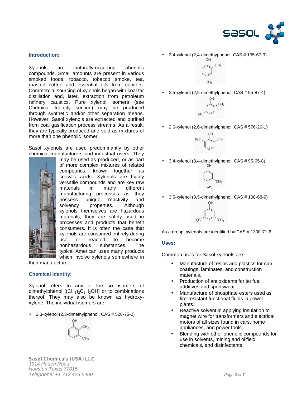

# **Introduction:**

Xylenols are naturally-occurring phenolic compounds. Small amounts are present in various smoked foods, tobacco, tobacco smoke, tea, roasted coffee and essential oils from conifers. Commercial sourcing of xylenols began with coal tar distillation and, later, extraction from petroleum refinery caustics. Pure xylenol isomers (see Chemical Identity section) may be produced through synthetic and/or other separation means. However, Sasol xylenols are extracted and purified from coal gasification process streams. As a result, they are typically produced and sold as mixtures of more than one phenolic isomer.

Sasol xylenols are used predominantly by other chemical manufacturers and industrial users. They



may be used as produced, or as part of more complex mixtures of related compounds, known together as cresylic acids. Xylenols are highly versatile compounds and are key raw materials in many different manufacturing processes as they<br>possess unique reactivity and unique reactivity and solvency properties. Although xylenols themselves are hazardous materials, they are safely used in processes and products that benefit consumers. It is often the case that xylenols are consumed entirely during use or reacted to become<br>nonhazardous substances. The nonhazardous substances. The typical American uses many products which involve xylenols somewhere in

their manufacture.

## **Chemical Identity:**

Xylenol refers to any of the six isomers of dimethylphenol  $[(CH<sub>3</sub>)<sub>2</sub>C<sub>6</sub>H<sub>3</sub>OH]$  or to combinations thereof. They may also be known as hydroxy xylene. The individual isomers are:

2,3-xylenol (2,3-dimethylphenol, CAS # 526-75-0)



2,4-xylenol (2,4-dimethyphenol, CAS # 105-67-9)



2,5-xylenol (2,5-dimethylphenol, CAS # 95-87-4)



2,6-xylenol (2,6-dimethylphenol, CAS # 576-26-1)



3,4-xylenol (3,4-dimethylphenol, CAS # 95-65-8)



3,5-xylenol (3,5-dimethylphenol, CAS # 108-68-9)



As a group, xylenols are identified by CAS # 1300-71-6.

#### **Uses:**

Common uses for Sasol xylenols are:

- Manufacture of resins and plastics for can coatings, laminates, and construction materials.
- Production of antioxidants for jet fuel additives and sportswear.
- Manufacture of phosphate esters used as fire-resistant functional fluids in power plants.
- Reactive solvent in applying insulation to magnet wire for transformers and electrical motors of all sizes found in cars, home appliances, and power tools.
- Blending with other phenolic compounds for use in solvents, mining and oilfield chemicals, and disinfectants.

*Sasol Chemicals (USA) LLC 1914 Haden Road Houston Texas 77015 Telephone: +1 713 428 5400 Page 2 of 7*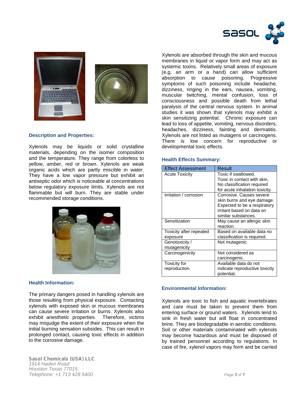



#### **Description and Properties:**

Xylenols may be liquids or solid crystalline materials, depending on the isomer composition and the temperature. They range from colorless to yellow, amber, red or brown. Xylenols are weak organic acids which are partly miscible in water. They have a low vapor pressure but exhibit an antiseptic odor which is noticeable at concentrations below regulatory exposure limits. Xylenols are not flammable but will burn. They are stable under recommended storage conditions.



## **Health Information:**

The primary dangers posed in handling xylenols are those resulting from physical exposure. Contacting xylenols with exposed skin or mucous membranes can cause severe irritation or burns. Xylenols also exhibit anesthetic properties. Therefore, victims may misjudge the extent of their exposure when the initial burning sensation subsides. This can result in prolonged contact, causing toxic effects in addition to the corrosive damage.

*Sasol Chemicals (USA) LLC 1914 Haden Road Houston Texas 77015 Telephone: +1 713 428 5400 Page 3 of 7*

Xylenols are absorbed through the skin and mucous membranes in liquid or vapor form and may act as systemic toxins. Relatively small areas of exposure (e.g. an arm or a hand) can allow sufficient absorption to cause poisoning. Progressive symptoms of such poisoning include headache, dizziness, ringing in the ears, nausea, vomiting, muscular twitching, mental confusion, loss of consciousness and possible death from lethal paralysis of the central nervous system. In animal studies it was shown that xylenols may exhibit a skin sensitizing potential. Chronic exposure can lead to loss of appetite, vomiting, nervous disorders, headaches, dizziness, fainting and dermatitis. Xylenols are not listed as mutagens or carcinogens. There is low concern for reproductive or developmental toxic effects.

## **Health Effects Summary:**

| <b>Effect Assessment</b> | Result                         |
|--------------------------|--------------------------------|
| <b>Acute Toxicity</b>    | Toxic if swallowed.            |
|                          | Toxic in contact with skin,    |
|                          | No classification required     |
|                          | for acute inhalation toxicity. |
| Irritation / corrosion   | Corrosive. Causes severe       |
|                          | skin burns and eye damage.     |
|                          | Expected to be a respiratory   |
|                          | irritant based on data on      |
|                          | similar substances.            |
| Sensitization            | May cause an allergic skin     |
|                          | reaction.                      |
| Toxicity after repeated  | Based on available data no     |
| exposure                 | classification is required.    |
| Genotoxicity /           | Not mutagenic.                 |
| mutagenicity             |                                |
| Carcinogenicity          | Not considered as              |
|                          | carcinogenic.                  |
| Toxicity for             | Available data do not          |
| reproduction             | indicate reproductive toxicity |
|                          | potential.                     |

## **Environmental Information:**

Xylenols are toxic to fish and aquatic invertebrates and care must be taken to prevent them from entering surface or ground waters. Xylenols tend to sink in fresh water but will float in concentrated brine. They are biodegradable in aerobic conditions. Soil or other materials contaminated with xylenols may become hazardous and must be disposed of by trained personnel according to regulations. In case of fire, xylenol vapors may form and be carried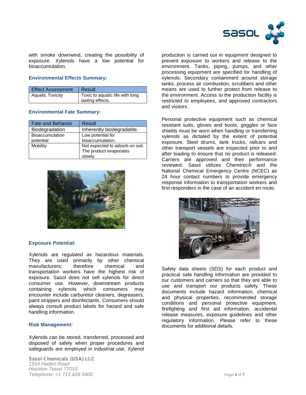

with smoke downwind, creating the possibility of exposure. Xylenols have a low potential for bioaccumulation.

## **Environmental Effects Summary:**

| <b>Effect Assessment</b> | Result                                              |
|--------------------------|-----------------------------------------------------|
| <b>Aquatic Toxicity</b>  | Toxic to aquatic life with long<br>lasting effects. |

#### **Environmental Fate Summary:**

| <b>Fate and Behavior</b> | Result                          |
|--------------------------|---------------------------------|
| Biodegradation           | Inherently biodegradable.       |
| <b>Bioaccumulation</b>   | Low potential for               |
| potential                | bioaccumulation.                |
| Mobility                 | Not expected to adsorb on soil. |
|                          | The product evaporates          |
|                          | slowly.                         |



## **Exposure Potential:**

Xylenols are regulated as hazardous materials. They are used primarily by other chemical manufacturers; therefore chemical and transportation workers have the highest risk of exposure. Sasol does not sell xylenols for direct consumer use. However, downstream products containing xylenols which consumers may encounter include carburetor cleaners, degreasers, paint strippers and disinfectants. Consumers should always consult product labels for hazard and safe handling information.

## **Risk Management:**

Xylenols can be stored, transferred, processed and disposed of safely when proper procedures and safeguards are employed in industrial use. Xylenol

*Sasol Chemicals (USA) LLC 1914 Haden Road Houston Texas 77015 Telephone: +1 713 428 5400 Page 4 of 7*

production is carried out in equipment designed to prevent exposure to workers and release to the environment. Tanks, piping, pumps, and other processing equipment are specified for handling of xylenols. Secondary containment around storage tanks, process air combustion, scrubbers and other means are used to further protect from release to the environment. Access to the production facility is restricted to employees, and approved contractors and visitors.

Personal protective equipment such as chemical resistant suits, gloves and boots, goggles or face shields must be worn when handling or transferring xylenols as dictated by the extent of potential exposure. Steel drums, tank trucks, railcars and other transport vessels are inspected prior to and after loading to ensure that no product is released. Carriers are approved and their performance reviewed. Sasol utilizes Chemtrec® and the National Chemical Emergency Centre (NCEC) as 24 hour contact numbers to provide emergency response information to transportation workers and first responders in the case of an accident en route.



Safety data sheets (SDS) for each product and practical safe handling information are provided to our customers and carriers so that they are able to use and transport our products safely. These documents include hazard information, chemical and physical properties, recommended storage conditions and personal protective equipment, firefighting and first aid information, accidental release measures, exposure guidelines and other regulatory information. Please refer to these documents for additional details.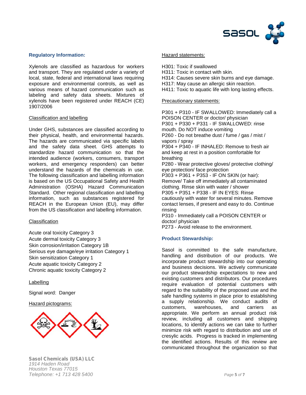

# **Regulatory Information:**

Xylenols are classified as hazardous for workers and transport. They are regulated under a variety of local, state, federal and international laws requiring exposure and environmental controls, as well as various means of hazard communication such as labeling and safety data sheets. Mixtures of xylenols have been registered under REACH (CE) 1907/2006

## Classification and labelling

Under GHS, substances are classified according to their physical, health, and environmental hazards. The hazards are communicated via specific labels and the safety data sheet. GHS attempts to standardize hazard communication so that the intended audience (workers, consumers, transport workers, and emergency responders) can better understand the hazards of the chemicals in use. The following classification and labelling information is based on the US Occupational Safety and Health Administration (OSHA) Hazard Communication Standard. Other regional classification and labelling information, such as substances registered for REACH in the European Union (EU), may differ from the US classification and labelling information.

# **Classification**

Acute oral toxicity Category 3 Acute dermal toxicity Category 3 Skin corrosion/irritation Category 1B Serious eye damage/eye irritation Category 1 Skin sensitization Category 1 Acute aquatic toxicity Category 2 Chronic aquatic toxicity Category 2

**Labelling** 

Signal word: Danger

## Hazard pictograms:



#### Hazard statements:

- H301: Toxic if swallowed
- H311: Toxic in contact with skin.
- H314: Causes severe skin burns and eye damage.
- H317: May cause an allergic skin reaction.
- H411: Toxic to aquatic life with long lasting effects.

## Precautionary statements:

P301 + P310 - IF SWALLOWED: Immediately call a POISON CENTER or doctor/ physician P301 + P330 + P331 - IF SWALLOWED: rinse mouth. Do NOT induce vomiting P260 - Do not breathe dust / fume / gas / mist / vapors / spray P304 + P340 - IF INHALED: Remove to fresh air and keep at rest in a position comfortable for breathing P280 - Wear protective gloves/ protective clothing/ eye protection/ face protection P303 + P361 + P353 - IF ON SKIN (or hair): Remove/ Take off immediately all contaminated clothing. Rinse skin with water / shower P305 + P351 + P338 - IF IN EYES: Rinse cautiously with water for several minutes. Remove contact lenses, if present and easy to do. Continue rinsing

P310 - Immediately call a POISON CENTER or doctor/ physician

P273 - Avoid release to the environment.

## **Product Stewardship:**

Sasol is committed to the safe manufacture, handling and distribution of our products. We incorporate product stewardship into our operating and business decisions. We actively communicate our product stewardship expectations to new and existing customers and distributors. Our procedures require evaluation of potential customers with regard to the suitability of the proposed use and the safe handling systems in place prior to establishing a supply relationship. We conduct audits of customers. warehouses. and carriers as warehouses, and carriers as appropriate. We perform an annual product risk review, including all customers and shipping locations, to identify actions we can take to further minimize risk with regard to distribution and use of cresylic acids. Progress is tracked in implementing the identified actions. Results of this review are communicated throughout the organization so that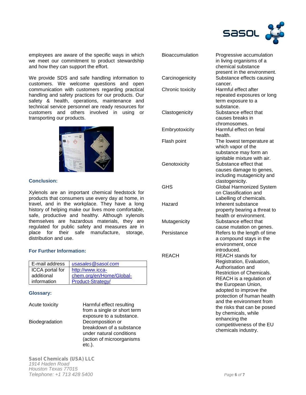

employees are aware of the specific ways in which we meet our commitment to product stewardship and how they can support the effort.

We provide SDS and safe handling information to Ca customers. We welcome questions and open<br>communication with customers regarding practical C communication with customers regarding practical handling and safety practices for our products. Our safety & health, operations, maintenance and technical service personnel are ready resources for customers and others involved in using or transporting our products.



## **Conclusion:**

Xylenols are an important chemical feedstock for products that consumers use every day at home, in travel, and in the workplace. They have a long history of helping make our lives more comfortable, safe, productive and healthy. Although xylenols themselves are hazardous materials, they are regulated for public safety and measures are in place for their safe manufacture, storage, distribution and use.

## **For Further Information:**

| E-mail address         | usasales@sasol.com       |
|------------------------|--------------------------|
| <b>ICCA</b> portal for | http://www.icca-         |
| additional             | chem.org/en/Home/Global- |
| information            | Product-Strategy/        |

#### **Glossary:**

| Acute toxicity | Harmful effect resulting<br>from a single or short term |
|----------------|---------------------------------------------------------|
|                | exposure to a substance.                                |
| Biodegradation | Decomposition or                                        |
|                | breakdown of a substance                                |
|                | under natural conditions                                |
|                | (action of microorganisms                               |
|                | $etc.$ ).                                               |

| <b>Bioaccumulation</b> | Progressive accumulation<br>in living organisms of a<br>chemical substance                                                                                                                                                                                                                         |
|------------------------|----------------------------------------------------------------------------------------------------------------------------------------------------------------------------------------------------------------------------------------------------------------------------------------------------|
| Carcinogenicity        | present in the environment.<br>Substance effects causing<br>cancer.                                                                                                                                                                                                                                |
| Chronic toxicity       | Harmful effect after<br>repeated exposures or long<br>term exposure to a                                                                                                                                                                                                                           |
| Clastogenicity         | substance.<br>Substance effect that<br>causes breaks in<br>chromosomes.                                                                                                                                                                                                                            |
| Embryotoxicity         | Harmful effect on fetal<br>health.                                                                                                                                                                                                                                                                 |
| Flash point            | The lowest temperature at<br>which vapor of the<br>substance may form an                                                                                                                                                                                                                           |
| Genotoxicity           | ignitable mixture with air.<br>Substance effect that<br>causes damage to genes,<br>including mutagenicity and                                                                                                                                                                                      |
| GHS                    | clastogenicity.<br>Global Harmonized System<br>on Classification and                                                                                                                                                                                                                               |
| Hazard                 | Labelling of chemicals.<br>Inherent substance<br>property bearing a threat to                                                                                                                                                                                                                      |
| Mutagenicity           | health or environment.<br>Substance effect that                                                                                                                                                                                                                                                    |
| Persistance            | cause mutation on genes.<br>Refers to the length of time<br>a compound stays in the<br>environment, once                                                                                                                                                                                           |
| REACH                  | introduced.<br><b>REACH</b> stands for<br>Registration, Evaluation,<br>Authorisation and<br><b>Restriction of Chemicals.</b><br>REACH is a regulation of<br>the European Union,<br>adopted to improve the<br>protection of human health<br>and the environment from<br>the risks that can be posed |
|                        | by chemicals, while<br>enhancing the<br>competitiveness of the EU<br>chemicals industry.                                                                                                                                                                                                           |